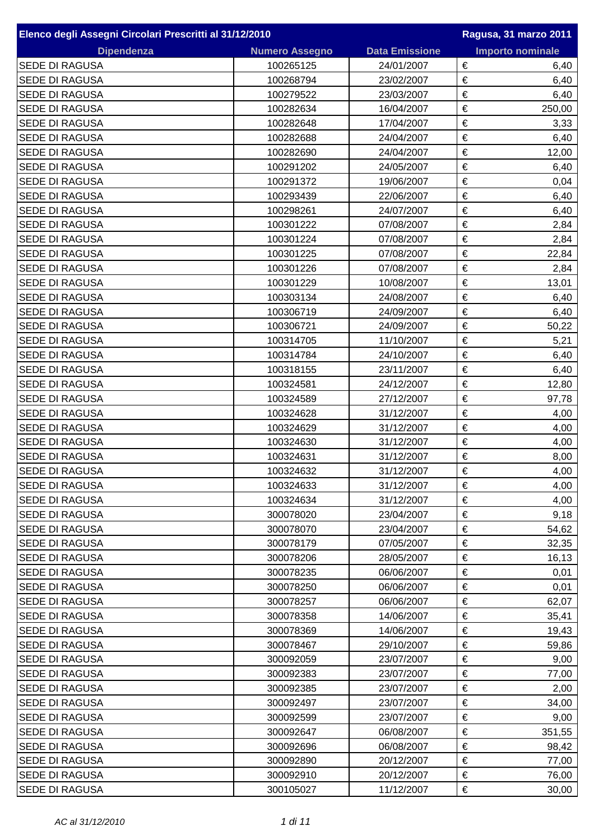| Elenco degli Assegni Circolari Prescritti al 31/12/2010 |                       | Ragusa, 31 marzo 2011 |                         |      |
|---------------------------------------------------------|-----------------------|-----------------------|-------------------------|------|
| <b>Dipendenza</b>                                       | <b>Numero Assegno</b> | <b>Data Emissione</b> | <b>Importo nominale</b> |      |
| <b>SEDE DI RAGUSA</b>                                   | 100265125             | 24/01/2007            | €                       | 6,40 |
| <b>SEDE DI RAGUSA</b>                                   | 100268794             | 23/02/2007            | €                       | 6,40 |
| <b>SEDE DI RAGUSA</b>                                   | 100279522             | 23/03/2007            | €                       | 6,40 |
| <b>SEDE DI RAGUSA</b>                                   | 100282634             | 16/04/2007            | $\in$<br>250,00         |      |
| <b>SEDE DI RAGUSA</b>                                   | 100282648             | 17/04/2007            | €                       | 3,33 |
| <b>SEDE DI RAGUSA</b>                                   | 100282688             | 24/04/2007            | €                       | 6,40 |
| <b>SEDE DI RAGUSA</b>                                   | 100282690             | 24/04/2007            | €<br>12,00              |      |
| <b>SEDE DI RAGUSA</b>                                   | 100291202             | 24/05/2007            | €                       | 6,40 |
| <b>SEDE DI RAGUSA</b>                                   | 100291372             | 19/06/2007            | €                       | 0,04 |
| <b>SEDE DI RAGUSA</b>                                   | 100293439             | 22/06/2007            | €                       | 6,40 |
| <b>SEDE DI RAGUSA</b>                                   | 100298261             | 24/07/2007            | €                       | 6,40 |
| <b>SEDE DI RAGUSA</b>                                   | 100301222             | 07/08/2007            | €                       | 2,84 |
| <b>SEDE DI RAGUSA</b>                                   | 100301224             | 07/08/2007            | €                       | 2,84 |
| <b>SEDE DI RAGUSA</b>                                   | 100301225             | 07/08/2007            | €<br>22,84              |      |
| <b>SEDE DI RAGUSA</b>                                   | 100301226             | 07/08/2007            | €                       | 2,84 |
| <b>SEDE DI RAGUSA</b>                                   | 100301229             | 10/08/2007            | €<br>13,01              |      |
| <b>SEDE DI RAGUSA</b>                                   | 100303134             | 24/08/2007            | €                       | 6,40 |
| <b>SEDE DI RAGUSA</b>                                   | 100306719             | 24/09/2007            | €                       | 6,40 |
| <b>SEDE DI RAGUSA</b>                                   | 100306721             | 24/09/2007            | €<br>50,22              |      |
| <b>SEDE DI RAGUSA</b>                                   | 100314705             | 11/10/2007            | €                       | 5,21 |
| <b>SEDE DI RAGUSA</b>                                   | 100314784             | 24/10/2007            | €                       | 6,40 |
| <b>SEDE DI RAGUSA</b>                                   | 100318155             | 23/11/2007            | €                       | 6,40 |
| <b>SEDE DI RAGUSA</b>                                   | 100324581             | 24/12/2007            | €<br>12,80              |      |
| <b>SEDE DI RAGUSA</b>                                   | 100324589             | 27/12/2007            | €<br>97,78              |      |
| <b>SEDE DI RAGUSA</b>                                   | 100324628             | 31/12/2007            | €                       | 4,00 |
| <b>SEDE DI RAGUSA</b>                                   | 100324629             | 31/12/2007            | €                       |      |
| <b>SEDE DI RAGUSA</b>                                   | 100324630             | 31/12/2007            | €                       | 4,00 |
| <b>SEDE DI RAGUSA</b>                                   |                       |                       | €                       | 4,00 |
|                                                         | 100324631             | 31/12/2007            | €                       | 8,00 |
| <b>SEDE DI RAGUSA</b>                                   | 100324632             | 31/12/2007            |                         | 4,00 |
| <b>SEDE DI RAGUSA</b>                                   | 100324633             | 31/12/2007            | €                       | 4,00 |
| <b>SEDE DI RAGUSA</b>                                   | 100324634             | 31/12/2007            | €                       | 4,00 |
| SEDE DI RAGUSA                                          | 300078020             | 23/04/2007            | €                       | 9,18 |
| SEDE DI RAGUSA                                          | 300078070             | 23/04/2007            | €<br>54,62              |      |
| <b>SEDE DI RAGUSA</b>                                   | 300078179             | 07/05/2007            | €<br>32,35              |      |
| <b>SEDE DI RAGUSA</b>                                   | 300078206             | 28/05/2007            | €<br>16,13              |      |
| <b>SEDE DI RAGUSA</b>                                   | 300078235             | 06/06/2007            | €                       | 0,01 |
| SEDE DI RAGUSA                                          | 300078250             | 06/06/2007            | €                       | 0,01 |
| <b>SEDE DI RAGUSA</b>                                   | 300078257             | 06/06/2007            | €<br>62,07              |      |
| <b>SEDE DI RAGUSA</b>                                   | 300078358             | 14/06/2007            | €<br>35,41              |      |
| <b>SEDE DI RAGUSA</b>                                   | 300078369             | 14/06/2007            | €<br>19,43              |      |
| <b>SEDE DI RAGUSA</b>                                   | 300078467             | 29/10/2007            | €<br>59,86              |      |
| SEDE DI RAGUSA                                          | 300092059             | 23/07/2007            | €                       | 9,00 |
| <b>SEDE DI RAGUSA</b>                                   | 300092383             | 23/07/2007            | €<br>77,00              |      |
| SEDE DI RAGUSA                                          | 300092385             | 23/07/2007            | €                       | 2,00 |
| <b>SEDE DI RAGUSA</b>                                   | 300092497             | 23/07/2007            | €<br>34,00              |      |
| <b>SEDE DI RAGUSA</b>                                   | 300092599             | 23/07/2007            | €                       | 9,00 |
| <b>SEDE DI RAGUSA</b>                                   | 300092647             | 06/08/2007            | €<br>351,55             |      |
| <b>SEDE DI RAGUSA</b>                                   | 300092696             | 06/08/2007            | €<br>98,42              |      |
| <b>SEDE DI RAGUSA</b>                                   | 300092890             | 20/12/2007            | €<br>77,00              |      |
| <b>SEDE DI RAGUSA</b>                                   | 300092910             | 20/12/2007            | €<br>76,00              |      |
| <b>SEDE DI RAGUSA</b>                                   | 300105027             | 11/12/2007            | €<br>30,00              |      |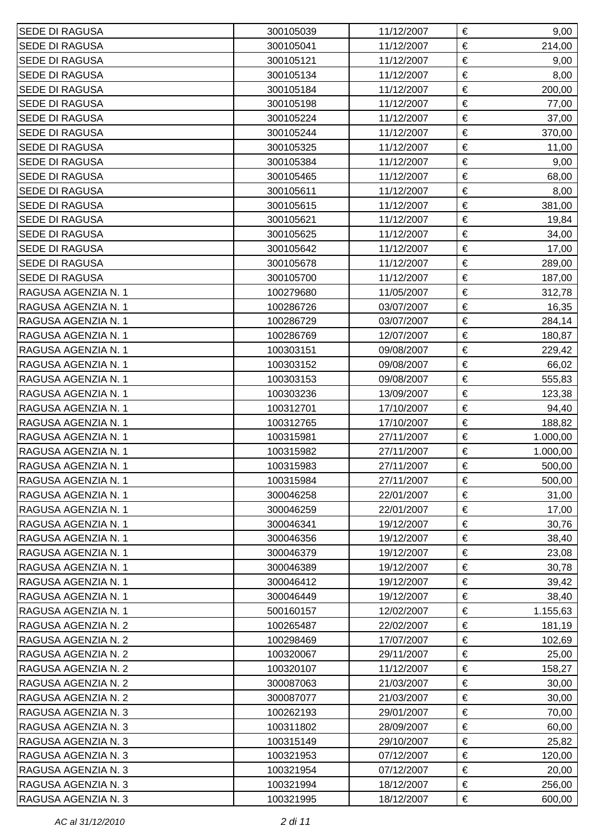| <b>SEDE DI RAGUSA</b> | 300105039 | 11/12/2007 | €<br>9,00     |
|-----------------------|-----------|------------|---------------|
| <b>SEDE DI RAGUSA</b> | 300105041 | 11/12/2007 | €<br>214,00   |
| <b>SEDE DI RAGUSA</b> | 300105121 | 11/12/2007 | €<br>9,00     |
| <b>SEDE DI RAGUSA</b> | 300105134 | 11/12/2007 | €<br>8,00     |
| <b>SEDE DI RAGUSA</b> | 300105184 | 11/12/2007 | €<br>200,00   |
| <b>SEDE DI RAGUSA</b> | 300105198 | 11/12/2007 | €<br>77,00    |
| SEDE DI RAGUSA        | 300105224 | 11/12/2007 | €<br>37,00    |
| <b>SEDE DI RAGUSA</b> | 300105244 | 11/12/2007 | €<br>370,00   |
| <b>SEDE DI RAGUSA</b> | 300105325 | 11/12/2007 | €<br>11,00    |
| <b>SEDE DI RAGUSA</b> | 300105384 | 11/12/2007 | €<br>9,00     |
| <b>SEDE DI RAGUSA</b> | 300105465 | 11/12/2007 | €<br>68,00    |
| <b>SEDE DI RAGUSA</b> | 300105611 | 11/12/2007 | $\in$<br>8,00 |
| <b>SEDE DI RAGUSA</b> | 300105615 | 11/12/2007 | €<br>381,00   |
| <b>SEDE DI RAGUSA</b> | 300105621 | 11/12/2007 | €<br>19,84    |
| <b>SEDE DI RAGUSA</b> | 300105625 | 11/12/2007 | €<br>34,00    |
| <b>SEDE DI RAGUSA</b> | 300105642 | 11/12/2007 | €<br>17,00    |
| <b>SEDE DI RAGUSA</b> | 300105678 | 11/12/2007 | €<br>289,00   |
| <b>SEDE DI RAGUSA</b> | 300105700 | 11/12/2007 | €<br>187,00   |
| RAGUSA AGENZIA N. 1   | 100279680 | 11/05/2007 | €<br>312,78   |
| RAGUSA AGENZIA N. 1   | 100286726 | 03/07/2007 | €<br>16,35    |
| RAGUSA AGENZIA N. 1   | 100286729 | 03/07/2007 | €<br>284,14   |
| RAGUSA AGENZIA N. 1   | 100286769 | 12/07/2007 | €<br>180,87   |
| RAGUSA AGENZIA N. 1   | 100303151 | 09/08/2007 | €<br>229,42   |
| RAGUSA AGENZIA N. 1   | 100303152 | 09/08/2007 | €<br>66,02    |
| RAGUSA AGENZIA N. 1   | 100303153 | 09/08/2007 | €<br>555,83   |
| RAGUSA AGENZIA N. 1   | 100303236 | 13/09/2007 | €<br>123,38   |
| RAGUSA AGENZIA N. 1   | 100312701 | 17/10/2007 | €<br>94,40    |
| RAGUSA AGENZIA N. 1   | 100312765 | 17/10/2007 | €<br>188,82   |
| RAGUSA AGENZIA N. 1   | 100315981 | 27/11/2007 | €<br>1.000,00 |
| RAGUSA AGENZIA N. 1   | 100315982 | 27/11/2007 | €<br>1.000,00 |
| RAGUSA AGENZIA N. 1   | 100315983 | 27/11/2007 | €<br>500,00   |
| RAGUSA AGENZIA N. 1   | 100315984 | 27/11/2007 | €<br>500,00   |
| RAGUSA AGENZIA N. 1   | 300046258 | 22/01/2007 | €<br>31,00    |
| RAGUSA AGENZIA N. 1   | 300046259 | 22/01/2007 | €<br>17,00    |
| RAGUSA AGENZIA N. 1   | 300046341 | 19/12/2007 | €<br>30,76    |
| RAGUSA AGENZIA N. 1   | 300046356 | 19/12/2007 | €<br>38,40    |
| RAGUSA AGENZIA N. 1   | 300046379 | 19/12/2007 | €<br>23,08    |
| RAGUSA AGENZIA N. 1   | 300046389 | 19/12/2007 | €<br>30,78    |
| RAGUSA AGENZIA N. 1   | 300046412 | 19/12/2007 | €<br>39,42    |
| RAGUSA AGENZIA N. 1   | 300046449 | 19/12/2007 | €<br>38,40    |
| RAGUSA AGENZIA N. 1   | 500160157 | 12/02/2007 | €<br>1.155,63 |
| RAGUSA AGENZIA N. 2   | 100265487 | 22/02/2007 | €<br>181,19   |
| RAGUSA AGENZIA N. 2   | 100298469 | 17/07/2007 | €<br>102,69   |
| RAGUSA AGENZIA N. 2   | 100320067 | 29/11/2007 | €<br>25,00    |
| RAGUSA AGENZIA N. 2   | 100320107 | 11/12/2007 | €<br>158,27   |
| RAGUSA AGENZIA N. 2   | 300087063 | 21/03/2007 | €<br>30,00    |
| RAGUSA AGENZIA N. 2   | 300087077 | 21/03/2007 | €<br>30,00    |
| RAGUSA AGENZIA N. 3   | 100262193 | 29/01/2007 | €<br>70,00    |
| RAGUSA AGENZIA N. 3   | 100311802 | 28/09/2007 | €<br>60,00    |
| RAGUSA AGENZIA N. 3   | 100315149 | 29/10/2007 | €<br>25,82    |
| RAGUSA AGENZIA N. 3   | 100321953 | 07/12/2007 | €<br>120,00   |
| RAGUSA AGENZIA N. 3   | 100321954 | 07/12/2007 | €<br>20,00    |
| RAGUSA AGENZIA N. 3   | 100321994 | 18/12/2007 | €<br>256,00   |
| RAGUSA AGENZIA N. 3   | 100321995 | 18/12/2007 | €<br>600,00   |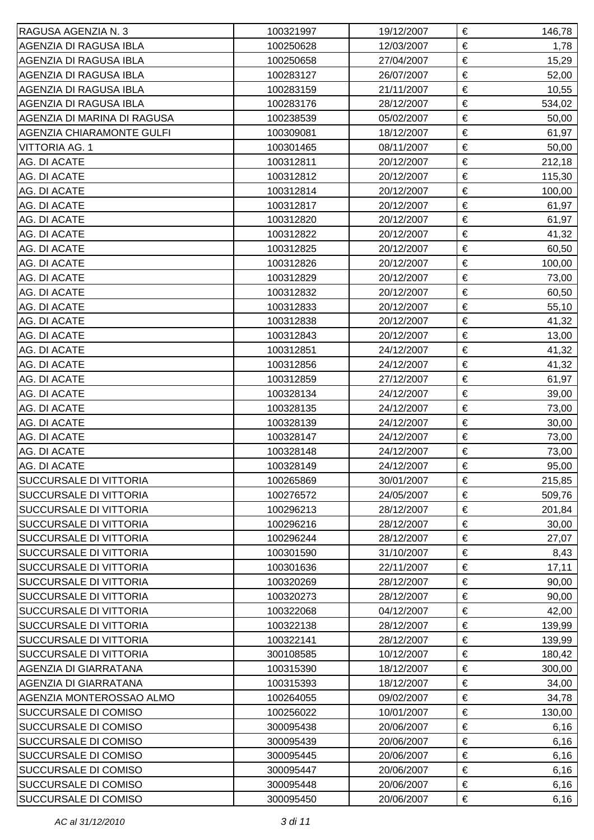| RAGUSA AGENZIA N. 3              | 100321997 | 19/12/2007 | € | 146,78 |
|----------------------------------|-----------|------------|---|--------|
| AGENZIA DI RAGUSA IBLA           | 100250628 | 12/03/2007 | € | 1,78   |
| AGENZIA DI RAGUSA IBLA           | 100250658 | 27/04/2007 | € | 15,29  |
| AGENZIA DI RAGUSA IBLA           | 100283127 | 26/07/2007 | € | 52,00  |
| AGENZIA DI RAGUSA IBLA           | 100283159 | 21/11/2007 | € | 10,55  |
| AGENZIA DI RAGUSA IBLA           | 100283176 | 28/12/2007 | € | 534,02 |
| AGENZIA DI MARINA DI RAGUSA      | 100238539 | 05/02/2007 | € | 50,00  |
| <b>AGENZIA CHIARAMONTE GULFI</b> | 100309081 | 18/12/2007 | € | 61,97  |
| <b>VITTORIA AG. 1</b>            | 100301465 | 08/11/2007 | € | 50,00  |
| AG. DI ACATE                     | 100312811 | 20/12/2007 | € | 212,18 |
| AG. DI ACATE                     | 100312812 | 20/12/2007 | € | 115,30 |
| AG. DI ACATE                     | 100312814 | 20/12/2007 | € | 100,00 |
| <b>AG. DI ACATE</b>              | 100312817 | 20/12/2007 | € | 61,97  |
| AG. DI ACATE                     | 100312820 | 20/12/2007 | € | 61,97  |
| AG. DI ACATE                     | 100312822 | 20/12/2007 | € | 41,32  |
| AG. DI ACATE                     | 100312825 | 20/12/2007 | € | 60,50  |
| AG. DI ACATE                     | 100312826 | 20/12/2007 | € | 100,00 |
| AG. DI ACATE                     | 100312829 | 20/12/2007 | € | 73,00  |
| AG. DI ACATE                     | 100312832 | 20/12/2007 | € | 60,50  |
| AG. DI ACATE                     | 100312833 | 20/12/2007 | € | 55,10  |
| AG. DI ACATE                     | 100312838 | 20/12/2007 | € | 41,32  |
| AG. DI ACATE                     | 100312843 | 20/12/2007 | € | 13,00  |
| AG. DI ACATE                     | 100312851 | 24/12/2007 | € | 41,32  |
| AG. DI ACATE                     | 100312856 | 24/12/2007 | € | 41,32  |
| AG. DI ACATE                     | 100312859 | 27/12/2007 | € | 61,97  |
| AG. DI ACATE                     | 100328134 | 24/12/2007 | € | 39,00  |
| AG. DI ACATE                     | 100328135 | 24/12/2007 | € | 73,00  |
| AG. DI ACATE                     | 100328139 | 24/12/2007 | € | 30,00  |
| AG. DI ACATE                     | 100328147 | 24/12/2007 | € | 73,00  |
| AG. DI ACATE                     | 100328148 | 24/12/2007 | € | 73,00  |
| AG. DI ACATE                     | 100328149 | 24/12/2007 | € | 95,00  |
| SUCCURSALE DI VITTORIA           | 100265869 | 30/01/2007 | € | 215,85 |
| <b>SUCCURSALE DI VITTORIA</b>    | 100276572 | 24/05/2007 | € | 509,76 |
| <b>SUCCURSALE DI VITTORIA</b>    | 100296213 | 28/12/2007 | € | 201,84 |
| <b>SUCCURSALE DI VITTORIA</b>    | 100296216 | 28/12/2007 | € | 30,00  |
| <b>SUCCURSALE DI VITTORIA</b>    | 100296244 | 28/12/2007 | € | 27,07  |
| <b>SUCCURSALE DI VITTORIA</b>    | 100301590 | 31/10/2007 | € | 8,43   |
| <b>SUCCURSALE DI VITTORIA</b>    | 100301636 | 22/11/2007 | € | 17,11  |
| <b>SUCCURSALE DI VITTORIA</b>    | 100320269 | 28/12/2007 | € | 90,00  |
| <b>SUCCURSALE DI VITTORIA</b>    | 100320273 | 28/12/2007 | € | 90,00  |
| <b>SUCCURSALE DI VITTORIA</b>    | 100322068 | 04/12/2007 | € | 42,00  |
| <b>SUCCURSALE DI VITTORIA</b>    | 100322138 | 28/12/2007 | € | 139,99 |
| <b>SUCCURSALE DI VITTORIA</b>    | 100322141 | 28/12/2007 | € | 139,99 |
| <b>SUCCURSALE DI VITTORIA</b>    | 300108585 | 10/12/2007 | € | 180,42 |
| AGENZIA DI GIARRATANA            | 100315390 | 18/12/2007 | € | 300,00 |
| AGENZIA DI GIARRATANA            | 100315393 | 18/12/2007 | € | 34,00  |
| AGENZIA MONTEROSSAO ALMO         | 100264055 | 09/02/2007 | € | 34,78  |
| <b>SUCCURSALE DI COMISO</b>      | 100256022 | 10/01/2007 | € | 130,00 |
| <b>SUCCURSALE DI COMISO</b>      | 300095438 | 20/06/2007 | € | 6,16   |
| <b>SUCCURSALE DI COMISO</b>      | 300095439 | 20/06/2007 | € | 6, 16  |
| <b>SUCCURSALE DI COMISO</b>      | 300095445 | 20/06/2007 | € | 6, 16  |
| <b>SUCCURSALE DI COMISO</b>      | 300095447 | 20/06/2007 | € | 6,16   |
| <b>SUCCURSALE DI COMISO</b>      | 300095448 | 20/06/2007 | € | 6,16   |
| <b>SUCCURSALE DI COMISO</b>      | 300095450 | 20/06/2007 | € | 6,16   |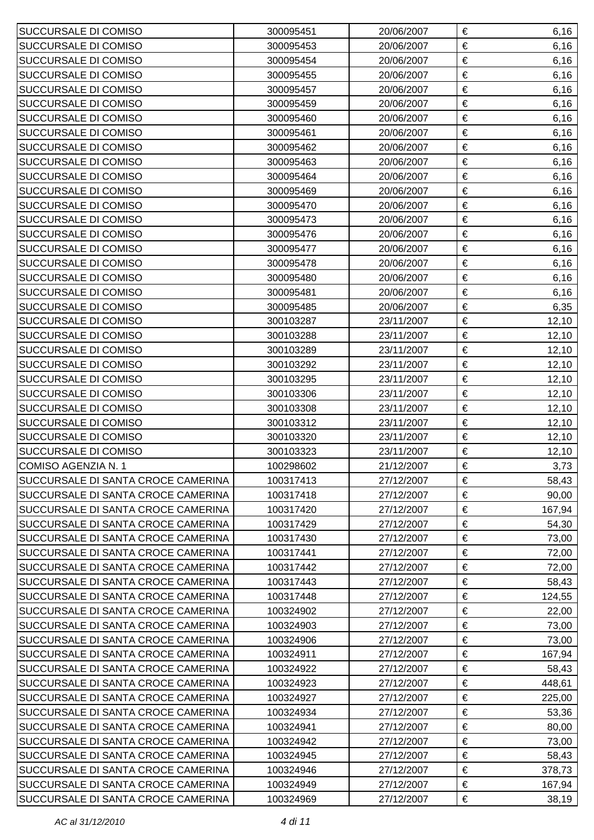| <b>SUCCURSALE DI COMISO</b>        | 300095451 | 20/06/2007 | € | 6,16   |
|------------------------------------|-----------|------------|---|--------|
| <b>SUCCURSALE DI COMISO</b>        | 300095453 | 20/06/2007 | € | 6,16   |
| <b>SUCCURSALE DI COMISO</b>        | 300095454 | 20/06/2007 | € | 6,16   |
| <b>SUCCURSALE DI COMISO</b>        | 300095455 | 20/06/2007 | € | 6,16   |
| <b>SUCCURSALE DI COMISO</b>        | 300095457 | 20/06/2007 | € | 6,16   |
| <b>SUCCURSALE DI COMISO</b>        | 300095459 | 20/06/2007 | € | 6, 16  |
| <b>SUCCURSALE DI COMISO</b>        | 300095460 | 20/06/2007 | € | 6,16   |
| <b>SUCCURSALE DI COMISO</b>        | 300095461 | 20/06/2007 | € | 6, 16  |
| <b>SUCCURSALE DI COMISO</b>        | 300095462 | 20/06/2007 | € | 6,16   |
| <b>SUCCURSALE DI COMISO</b>        | 300095463 | 20/06/2007 | € | 6,16   |
| <b>SUCCURSALE DI COMISO</b>        | 300095464 | 20/06/2007 | € | 6,16   |
| SUCCURSALE DI COMISO               | 300095469 | 20/06/2007 | € | 6,16   |
| <b>SUCCURSALE DI COMISO</b>        | 300095470 | 20/06/2007 | € | 6, 16  |
| <b>SUCCURSALE DI COMISO</b>        | 300095473 | 20/06/2007 | € | 6,16   |
| <b>SUCCURSALE DI COMISO</b>        | 300095476 | 20/06/2007 | € | 6, 16  |
| SUCCURSALE DI COMISO               | 300095477 | 20/06/2007 | € | 6,16   |
| <b>SUCCURSALE DI COMISO</b>        | 300095478 | 20/06/2007 | € | 6, 16  |
| <b>SUCCURSALE DI COMISO</b>        | 300095480 | 20/06/2007 | € | 6, 16  |
| <b>SUCCURSALE DI COMISO</b>        | 300095481 | 20/06/2007 | € | 6,16   |
| <b>SUCCURSALE DI COMISO</b>        | 300095485 | 20/06/2007 | € | 6,35   |
| <b>SUCCURSALE DI COMISO</b>        | 300103287 | 23/11/2007 | € | 12,10  |
| <b>SUCCURSALE DI COMISO</b>        | 300103288 | 23/11/2007 | € | 12,10  |
| <b>SUCCURSALE DI COMISO</b>        | 300103289 | 23/11/2007 | € | 12,10  |
| <b>SUCCURSALE DI COMISO</b>        | 300103292 | 23/11/2007 | € | 12,10  |
| <b>SUCCURSALE DI COMISO</b>        | 300103295 | 23/11/2007 | € | 12,10  |
| <b>SUCCURSALE DI COMISO</b>        | 300103306 | 23/11/2007 | € | 12,10  |
| <b>SUCCURSALE DI COMISO</b>        | 300103308 | 23/11/2007 | € | 12,10  |
| <b>SUCCURSALE DI COMISO</b>        | 300103312 | 23/11/2007 | € | 12,10  |
| <b>SUCCURSALE DI COMISO</b>        | 300103320 | 23/11/2007 | € | 12,10  |
| <b>SUCCURSALE DI COMISO</b>        | 300103323 | 23/11/2007 | € | 12,10  |
| COMISO AGENZIA N. 1                | 100298602 | 21/12/2007 | € | 3,73   |
| SUCCURSALE DI SANTA CROCE CAMERINA | 100317413 | 27/12/2007 | € | 58,43  |
| SUCCURSALE DI SANTA CROCE CAMERINA | 100317418 | 27/12/2007 | € | 90,00  |
| SUCCURSALE DI SANTA CROCE CAMERINA | 100317420 | 27/12/2007 | € | 167,94 |
| SUCCURSALE DI SANTA CROCE CAMERINA | 100317429 | 27/12/2007 | € | 54,30  |
| SUCCURSALE DI SANTA CROCE CAMERINA | 100317430 | 27/12/2007 | € | 73,00  |
| SUCCURSALE DI SANTA CROCE CAMERINA | 100317441 | 27/12/2007 | € | 72,00  |
| SUCCURSALE DI SANTA CROCE CAMERINA | 100317442 | 27/12/2007 | € | 72,00  |
| SUCCURSALE DI SANTA CROCE CAMERINA | 100317443 | 27/12/2007 | € | 58,43  |
| SUCCURSALE DI SANTA CROCE CAMERINA | 100317448 | 27/12/2007 | € | 124,55 |
| SUCCURSALE DI SANTA CROCE CAMERINA | 100324902 | 27/12/2007 | € | 22,00  |
| SUCCURSALE DI SANTA CROCE CAMERINA | 100324903 | 27/12/2007 | € | 73,00  |
| SUCCURSALE DI SANTA CROCE CAMERINA | 100324906 | 27/12/2007 | € | 73,00  |
| SUCCURSALE DI SANTA CROCE CAMERINA | 100324911 | 27/12/2007 | € | 167,94 |
| SUCCURSALE DI SANTA CROCE CAMERINA | 100324922 | 27/12/2007 | € | 58,43  |
| SUCCURSALE DI SANTA CROCE CAMERINA | 100324923 | 27/12/2007 | € | 448,61 |
| SUCCURSALE DI SANTA CROCE CAMERINA | 100324927 | 27/12/2007 | € | 225,00 |
| SUCCURSALE DI SANTA CROCE CAMERINA | 100324934 | 27/12/2007 | € | 53,36  |
| SUCCURSALE DI SANTA CROCE CAMERINA | 100324941 | 27/12/2007 | € | 80,00  |
| SUCCURSALE DI SANTA CROCE CAMERINA | 100324942 | 27/12/2007 | € | 73,00  |
| SUCCURSALE DI SANTA CROCE CAMERINA | 100324945 | 27/12/2007 | € | 58,43  |
| SUCCURSALE DI SANTA CROCE CAMERINA | 100324946 | 27/12/2007 | € | 378,73 |
| SUCCURSALE DI SANTA CROCE CAMERINA | 100324949 | 27/12/2007 | € | 167,94 |
| SUCCURSALE DI SANTA CROCE CAMERINA | 100324969 | 27/12/2007 | € | 38,19  |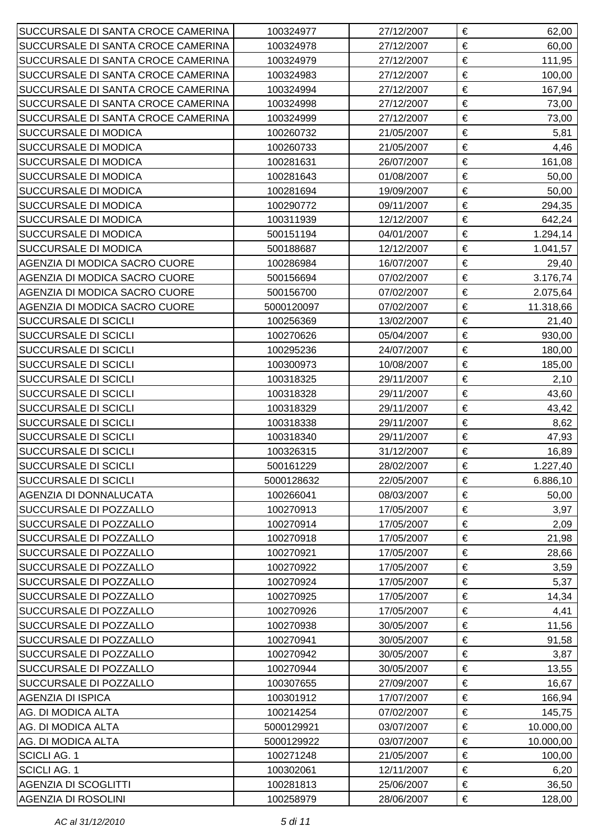| SUCCURSALE DI SANTA CROCE CAMERINA | 100324977  | 27/12/2007 | € | 62,00     |
|------------------------------------|------------|------------|---|-----------|
| SUCCURSALE DI SANTA CROCE CAMERINA | 100324978  | 27/12/2007 | € | 60,00     |
| SUCCURSALE DI SANTA CROCE CAMERINA | 100324979  | 27/12/2007 | € | 111,95    |
| SUCCURSALE DI SANTA CROCE CAMERINA | 100324983  | 27/12/2007 | € | 100,00    |
| SUCCURSALE DI SANTA CROCE CAMERINA | 100324994  | 27/12/2007 | € | 167,94    |
| SUCCURSALE DI SANTA CROCE CAMERINA | 100324998  | 27/12/2007 | € | 73,00     |
| SUCCURSALE DI SANTA CROCE CAMERINA | 100324999  | 27/12/2007 | € | 73,00     |
| <b>SUCCURSALE DI MODICA</b>        | 100260732  | 21/05/2007 | € | 5,81      |
| <b>SUCCURSALE DI MODICA</b>        | 100260733  | 21/05/2007 | € | 4,46      |
| <b>SUCCURSALE DI MODICA</b>        | 100281631  | 26/07/2007 | € | 161,08    |
| SUCCURSALE DI MODICA               | 100281643  | 01/08/2007 | € | 50,00     |
| <b>SUCCURSALE DI MODICA</b>        | 100281694  | 19/09/2007 | € | 50,00     |
| <b>SUCCURSALE DI MODICA</b>        | 100290772  | 09/11/2007 | € | 294,35    |
| <b>SUCCURSALE DI MODICA</b>        | 100311939  | 12/12/2007 | € | 642,24    |
| <b>SUCCURSALE DI MODICA</b>        | 500151194  | 04/01/2007 | € | 1.294,14  |
| <b>SUCCURSALE DI MODICA</b>        | 500188687  | 12/12/2007 | € | 1.041,57  |
| AGENZIA DI MODICA SACRO CUORE      | 100286984  | 16/07/2007 | € | 29,40     |
| AGENZIA DI MODICA SACRO CUORE      | 500156694  | 07/02/2007 | € | 3.176,74  |
| AGENZIA DI MODICA SACRO CUORE      | 500156700  | 07/02/2007 | € | 2.075,64  |
| AGENZIA DI MODICA SACRO CUORE      | 5000120097 | 07/02/2007 | € | 11.318,66 |
| <b>SUCCURSALE DI SCICLI</b>        | 100256369  | 13/02/2007 | € | 21,40     |
| <b>SUCCURSALE DI SCICLI</b>        | 100270626  | 05/04/2007 | € | 930,00    |
| <b>SUCCURSALE DI SCICLI</b>        | 100295236  | 24/07/2007 | € | 180,00    |
| <b>SUCCURSALE DI SCICLI</b>        | 100300973  | 10/08/2007 | € | 185,00    |
| <b>SUCCURSALE DI SCICLI</b>        | 100318325  | 29/11/2007 | € | 2,10      |
| <b>SUCCURSALE DI SCICLI</b>        | 100318328  | 29/11/2007 | € | 43,60     |
| <b>SUCCURSALE DI SCICLI</b>        | 100318329  | 29/11/2007 | € | 43,42     |
| <b>SUCCURSALE DI SCICLI</b>        | 100318338  | 29/11/2007 | € | 8,62      |
| <b>SUCCURSALE DI SCICLI</b>        | 100318340  | 29/11/2007 | € | 47,93     |
| <b>SUCCURSALE DI SCICLI</b>        | 100326315  | 31/12/2007 | € | 16,89     |
| <b>SUCCURSALE DI SCICLI</b>        | 500161229  | 28/02/2007 | € | 1.227,40  |
| <b>SUCCURSALE DI SCICLI</b>        | 5000128632 | 22/05/2007 | € | 6.886,10  |
| <b>AGENZIA DI DONNALUCATA</b>      | 100266041  | 08/03/2007 | € | 50,00     |
| <b>SUCCURSALE DI POZZALLO</b>      | 100270913  | 17/05/2007 | € | 3,97      |
| <b>SUCCURSALE DI POZZALLO</b>      | 100270914  | 17/05/2007 | € | 2,09      |
| <b>SUCCURSALE DI POZZALLO</b>      | 100270918  | 17/05/2007 | € | 21,98     |
| SUCCURSALE DI POZZALLO             | 100270921  | 17/05/2007 | € | 28,66     |
| <b>SUCCURSALE DI POZZALLO</b>      | 100270922  | 17/05/2007 | € | 3,59      |
| <b>SUCCURSALE DI POZZALLO</b>      | 100270924  | 17/05/2007 | € | 5,37      |
| <b>SUCCURSALE DI POZZALLO</b>      | 100270925  | 17/05/2007 | € | 14,34     |
| <b>SUCCURSALE DI POZZALLO</b>      | 100270926  | 17/05/2007 | € | 4,41      |
| <b>SUCCURSALE DI POZZALLO</b>      | 100270938  | 30/05/2007 | € | 11,56     |
| <b>SUCCURSALE DI POZZALLO</b>      | 100270941  | 30/05/2007 | € | 91,58     |
| <b>SUCCURSALE DI POZZALLO</b>      | 100270942  | 30/05/2007 | € | 3,87      |
| <b>SUCCURSALE DI POZZALLO</b>      | 100270944  | 30/05/2007 | € | 13,55     |
| <b>SUCCURSALE DI POZZALLO</b>      | 100307655  | 27/09/2007 | € | 16,67     |
| AGENZIA DI ISPICA                  | 100301912  | 17/07/2007 | € | 166,94    |
| AG. DI MODICA ALTA                 | 100214254  | 07/02/2007 | € | 145,75    |
| AG. DI MODICA ALTA                 | 5000129921 | 03/07/2007 | € | 10.000,00 |
| AG. DI MODICA ALTA                 | 5000129922 | 03/07/2007 | € | 10.000,00 |
| <b>SCICLI AG. 1</b>                | 100271248  | 21/05/2007 | € | 100,00    |
| <b>SCICLI AG. 1</b>                | 100302061  | 12/11/2007 | € | 6,20      |
| <b>AGENZIA DI SCOGLITTI</b>        | 100281813  | 25/06/2007 | € | 36,50     |
| <b>AGENZIA DI ROSOLINI</b>         | 100258979  | 28/06/2007 | € | 128,00    |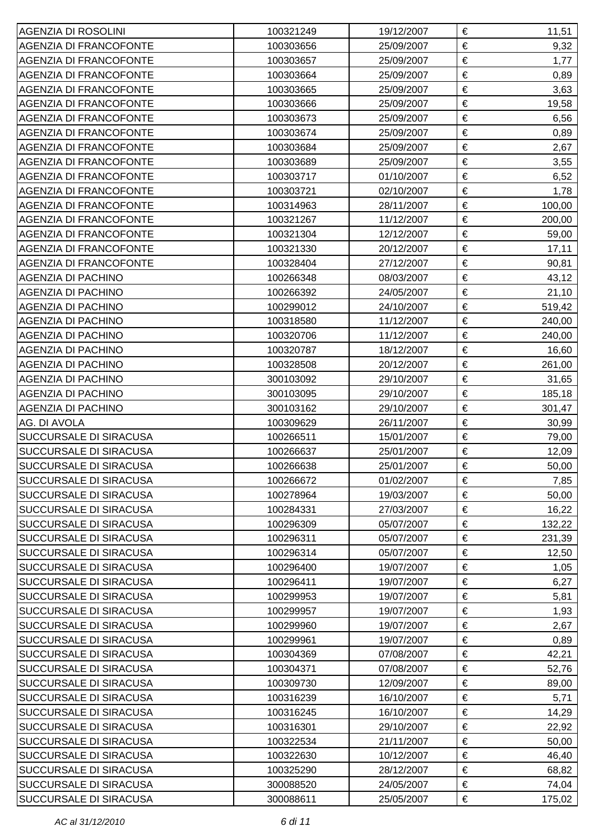| AGENZIA DI ROSOLINI           | 100321249 | 19/12/2007 | €     | 11,51  |
|-------------------------------|-----------|------------|-------|--------|
| <b>AGENZIA DI FRANCOFONTE</b> | 100303656 | 25/09/2007 | $\in$ | 9,32   |
| <b>AGENZIA DI FRANCOFONTE</b> | 100303657 | 25/09/2007 | €     | 1,77   |
| <b>AGENZIA DI FRANCOFONTE</b> | 100303664 | 25/09/2007 | €     | 0,89   |
| <b>AGENZIA DI FRANCOFONTE</b> | 100303665 | 25/09/2007 | €     | 3,63   |
| <b>AGENZIA DI FRANCOFONTE</b> | 100303666 | 25/09/2007 | €     | 19,58  |
| <b>AGENZIA DI FRANCOFONTE</b> | 100303673 | 25/09/2007 | €     | 6,56   |
| <b>AGENZIA DI FRANCOFONTE</b> | 100303674 | 25/09/2007 | €     | 0,89   |
| <b>AGENZIA DI FRANCOFONTE</b> | 100303684 | 25/09/2007 | €     | 2,67   |
| <b>AGENZIA DI FRANCOFONTE</b> | 100303689 | 25/09/2007 | €     | 3,55   |
| <b>AGENZIA DI FRANCOFONTE</b> | 100303717 | 01/10/2007 | €     | 6,52   |
| <b>AGENZIA DI FRANCOFONTE</b> | 100303721 | 02/10/2007 | €     | 1,78   |
| <b>AGENZIA DI FRANCOFONTE</b> | 100314963 | 28/11/2007 | €     | 100,00 |
| <b>AGENZIA DI FRANCOFONTE</b> | 100321267 | 11/12/2007 | €     | 200,00 |
| <b>AGENZIA DI FRANCOFONTE</b> | 100321304 | 12/12/2007 | €     | 59,00  |
| <b>AGENZIA DI FRANCOFONTE</b> | 100321330 | 20/12/2007 | €     | 17,11  |
| <b>AGENZIA DI FRANCOFONTE</b> | 100328404 | 27/12/2007 | €     | 90,81  |
| <b>AGENZIA DI PACHINO</b>     | 100266348 | 08/03/2007 | €     | 43,12  |
| <b>AGENZIA DI PACHINO</b>     | 100266392 | 24/05/2007 | €     | 21,10  |
| <b>AGENZIA DI PACHINO</b>     | 100299012 | 24/10/2007 | €     | 519,42 |
| AGENZIA DI PACHINO            | 100318580 | 11/12/2007 | €     | 240,00 |
| <b>AGENZIA DI PACHINO</b>     | 100320706 | 11/12/2007 | €     | 240,00 |
| <b>AGENZIA DI PACHINO</b>     | 100320787 | 18/12/2007 | €     | 16,60  |
| <b>AGENZIA DI PACHINO</b>     | 100328508 | 20/12/2007 | €     | 261,00 |
| <b>AGENZIA DI PACHINO</b>     | 300103092 | 29/10/2007 | €     | 31,65  |
| <b>AGENZIA DI PACHINO</b>     | 300103095 | 29/10/2007 | €     | 185,18 |
| <b>AGENZIA DI PACHINO</b>     | 300103162 | 29/10/2007 | €     | 301,47 |
| AG. DI AVOLA                  | 100309629 | 26/11/2007 | €     | 30,99  |
| <b>SUCCURSALE DI SIRACUSA</b> | 100266511 | 15/01/2007 | €     | 79,00  |
| <b>SUCCURSALE DI SIRACUSA</b> | 100266637 | 25/01/2007 | €     | 12,09  |
| <b>SUCCURSALE DI SIRACUSA</b> | 100266638 | 25/01/2007 | €     | 50,00  |
| <b>SUCCURSALE DI SIRACUSA</b> | 100266672 | 01/02/2007 | €     | 7,85   |
| <b>SUCCURSALE DI SIRACUSA</b> | 100278964 | 19/03/2007 | €     | 50,00  |
| <b>SUCCURSALE DI SIRACUSA</b> | 100284331 | 27/03/2007 | €     | 16,22  |
| <b>SUCCURSALE DI SIRACUSA</b> | 100296309 | 05/07/2007 | €     | 132,22 |
| <b>SUCCURSALE DI SIRACUSA</b> | 100296311 | 05/07/2007 | €     | 231,39 |
| <b>SUCCURSALE DI SIRACUSA</b> | 100296314 | 05/07/2007 | €     | 12,50  |
| <b>SUCCURSALE DI SIRACUSA</b> | 100296400 | 19/07/2007 | €     | 1,05   |
| <b>SUCCURSALE DI SIRACUSA</b> | 100296411 | 19/07/2007 | €     | 6,27   |
| <b>SUCCURSALE DI SIRACUSA</b> | 100299953 | 19/07/2007 | €     | 5,81   |
| <b>SUCCURSALE DI SIRACUSA</b> | 100299957 | 19/07/2007 | €     | 1,93   |
| <b>SUCCURSALE DI SIRACUSA</b> | 100299960 | 19/07/2007 | €     | 2,67   |
| <b>SUCCURSALE DI SIRACUSA</b> | 100299961 | 19/07/2007 | €     | 0,89   |
| <b>SUCCURSALE DI SIRACUSA</b> | 100304369 | 07/08/2007 | €     | 42,21  |
| <b>SUCCURSALE DI SIRACUSA</b> | 100304371 | 07/08/2007 | €     | 52,76  |
| <b>SUCCURSALE DI SIRACUSA</b> | 100309730 | 12/09/2007 | €     | 89,00  |
| <b>SUCCURSALE DI SIRACUSA</b> | 100316239 | 16/10/2007 | €     | 5,71   |
| <b>SUCCURSALE DI SIRACUSA</b> | 100316245 | 16/10/2007 | €     | 14,29  |
| <b>SUCCURSALE DI SIRACUSA</b> | 100316301 | 29/10/2007 | €     | 22,92  |
| <b>SUCCURSALE DI SIRACUSA</b> | 100322534 | 21/11/2007 | €     | 50,00  |
| <b>SUCCURSALE DI SIRACUSA</b> | 100322630 | 10/12/2007 | €     | 46,40  |
| <b>SUCCURSALE DI SIRACUSA</b> | 100325290 | 28/12/2007 | €     | 68,82  |
| <b>SUCCURSALE DI SIRACUSA</b> | 300088520 | 24/05/2007 | €     | 74,04  |
| <b>SUCCURSALE DI SIRACUSA</b> | 300088611 | 25/05/2007 | €     | 175,02 |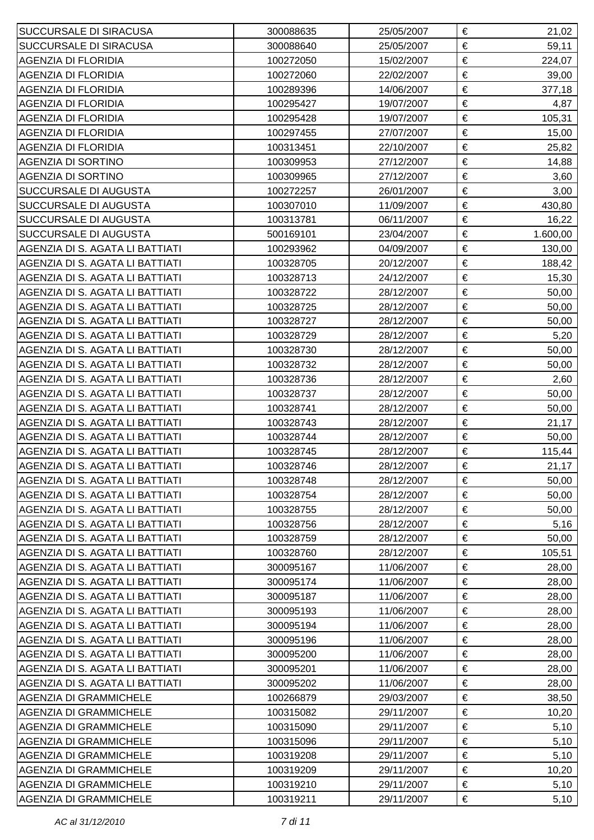| <b>SUCCURSALE DI SIRACUSA</b>   | 300088635 | 25/05/2007 | € | 21,02    |
|---------------------------------|-----------|------------|---|----------|
| <b>SUCCURSALE DI SIRACUSA</b>   | 300088640 | 25/05/2007 | € | 59,11    |
| <b>AGENZIA DI FLORIDIA</b>      | 100272050 | 15/02/2007 | € | 224,07   |
| <b>AGENZIA DI FLORIDIA</b>      | 100272060 | 22/02/2007 | € | 39,00    |
| <b>AGENZIA DI FLORIDIA</b>      | 100289396 | 14/06/2007 | € | 377,18   |
| <b>AGENZIA DI FLORIDIA</b>      | 100295427 | 19/07/2007 | € | 4,87     |
| <b>AGENZIA DI FLORIDIA</b>      | 100295428 | 19/07/2007 | € | 105,31   |
| <b>AGENZIA DI FLORIDIA</b>      | 100297455 | 27/07/2007 | € | 15,00    |
| <b>AGENZIA DI FLORIDIA</b>      | 100313451 | 22/10/2007 | € | 25,82    |
| <b>AGENZIA DI SORTINO</b>       | 100309953 | 27/12/2007 | € | 14,88    |
| <b>AGENZIA DI SORTINO</b>       | 100309965 | 27/12/2007 | € | 3,60     |
| <b>SUCCURSALE DI AUGUSTA</b>    | 100272257 | 26/01/2007 | € | 3,00     |
| <b>SUCCURSALE DI AUGUSTA</b>    | 100307010 | 11/09/2007 | € | 430,80   |
| <b>SUCCURSALE DI AUGUSTA</b>    | 100313781 | 06/11/2007 | € | 16,22    |
| <b>SUCCURSALE DI AUGUSTA</b>    | 500169101 | 23/04/2007 | € | 1.600,00 |
| AGENZIA DI S. AGATA LI BATTIATI | 100293962 | 04/09/2007 | € | 130,00   |
| AGENZIA DI S. AGATA LI BATTIATI | 100328705 | 20/12/2007 | € | 188,42   |
| AGENZIA DI S. AGATA LI BATTIATI | 100328713 | 24/12/2007 | € | 15,30    |
| AGENZIA DI S. AGATA LI BATTIATI | 100328722 | 28/12/2007 | € | 50,00    |
| AGENZIA DI S. AGATA LI BATTIATI | 100328725 | 28/12/2007 | € | 50,00    |
| AGENZIA DI S. AGATA LI BATTIATI | 100328727 | 28/12/2007 | € | 50,00    |
| AGENZIA DI S. AGATA LI BATTIATI | 100328729 | 28/12/2007 | € | 5,20     |
| AGENZIA DI S. AGATA LI BATTIATI | 100328730 | 28/12/2007 | € | 50,00    |
| AGENZIA DI S. AGATA LI BATTIATI | 100328732 | 28/12/2007 | € | 50,00    |
| AGENZIA DI S. AGATA LI BATTIATI | 100328736 | 28/12/2007 | € | 2,60     |
| AGENZIA DI S. AGATA LI BATTIATI | 100328737 | 28/12/2007 | € | 50,00    |
| AGENZIA DI S. AGATA LI BATTIATI | 100328741 | 28/12/2007 | € | 50,00    |
| AGENZIA DI S. AGATA LI BATTIATI | 100328743 | 28/12/2007 | € | 21,17    |
| AGENZIA DI S. AGATA LI BATTIATI | 100328744 | 28/12/2007 | € | 50,00    |
| AGENZIA DI S. AGATA LI BATTIATI | 100328745 | 28/12/2007 | € | 115,44   |
| AGENZIA DI S. AGATA LI BATTIATI | 100328746 | 28/12/2007 | € | 21,17    |
| AGENZIA DI S. AGATA LI BATTIATI | 100328748 | 28/12/2007 | € | 50,00    |
| AGENZIA DI S. AGATA LI BATTIATI | 100328754 | 28/12/2007 | € | 50,00    |
| AGENZIA DI S. AGATA LI BATTIATI | 100328755 | 28/12/2007 | € | 50,00    |
| AGENZIA DI S. AGATA LI BATTIATI | 100328756 | 28/12/2007 | € | 5,16     |
| AGENZIA DI S. AGATA LI BATTIATI | 100328759 | 28/12/2007 | € | 50,00    |
| AGENZIA DI S. AGATA LI BATTIATI | 100328760 | 28/12/2007 | € | 105,51   |
| AGENZIA DI S. AGATA LI BATTIATI | 300095167 | 11/06/2007 | € | 28,00    |
| AGENZIA DI S. AGATA LI BATTIATI | 300095174 | 11/06/2007 | € | 28,00    |
| AGENZIA DI S. AGATA LI BATTIATI | 300095187 | 11/06/2007 | € | 28,00    |
| AGENZIA DI S. AGATA LI BATTIATI | 300095193 | 11/06/2007 | € | 28,00    |
| AGENZIA DI S. AGATA LI BATTIATI | 300095194 | 11/06/2007 | € | 28,00    |
| AGENZIA DI S. AGATA LI BATTIATI | 300095196 | 11/06/2007 | € | 28,00    |
| AGENZIA DI S. AGATA LI BATTIATI | 300095200 | 11/06/2007 | € | 28,00    |
| AGENZIA DI S. AGATA LI BATTIATI | 300095201 | 11/06/2007 | € | 28,00    |
| AGENZIA DI S. AGATA LI BATTIATI | 300095202 | 11/06/2007 | € | 28,00    |
| <b>AGENZIA DI GRAMMICHELE</b>   | 100266879 | 29/03/2007 | € | 38,50    |
| <b>AGENZIA DI GRAMMICHELE</b>   | 100315082 | 29/11/2007 | € | 10,20    |
| <b>AGENZIA DI GRAMMICHELE</b>   | 100315090 | 29/11/2007 | € | 5,10     |
| <b>AGENZIA DI GRAMMICHELE</b>   | 100315096 | 29/11/2007 | € | 5,10     |
| <b>AGENZIA DI GRAMMICHELE</b>   | 100319208 | 29/11/2007 | € | 5,10     |
| <b>AGENZIA DI GRAMMICHELE</b>   | 100319209 | 29/11/2007 | € | 10,20    |
| <b>AGENZIA DI GRAMMICHELE</b>   | 100319210 | 29/11/2007 | € | 5,10     |
| <b>AGENZIA DI GRAMMICHELE</b>   | 100319211 | 29/11/2007 | € | 5,10     |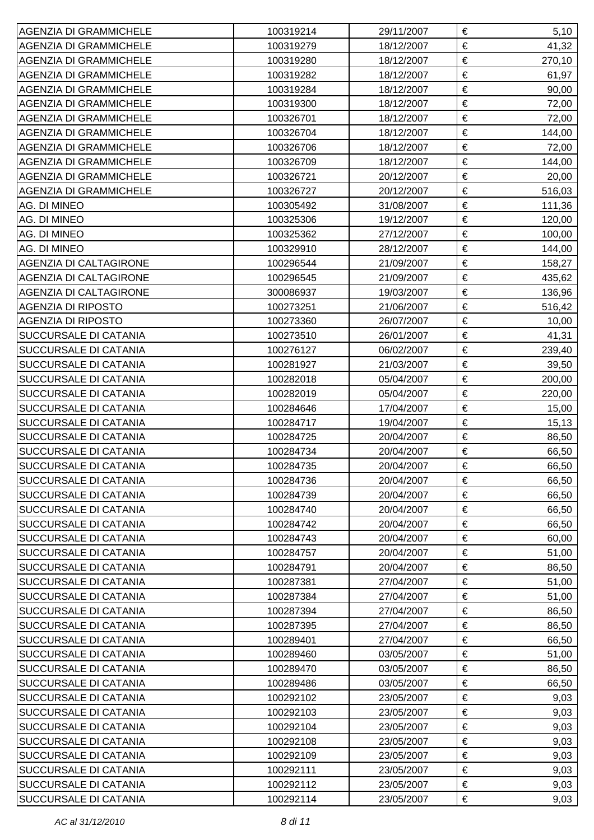| <b>AGENZIA DI GRAMMICHELE</b> | 100319214 | 29/11/2007 | €<br>5,10       |
|-------------------------------|-----------|------------|-----------------|
| <b>AGENZIA DI GRAMMICHELE</b> | 100319279 | 18/12/2007 | €<br>41,32      |
| <b>AGENZIA DI GRAMMICHELE</b> | 100319280 | 18/12/2007 | €<br>270,10     |
| <b>AGENZIA DI GRAMMICHELE</b> | 100319282 | 18/12/2007 | €<br>61,97      |
| <b>AGENZIA DI GRAMMICHELE</b> | 100319284 | 18/12/2007 | €<br>90,00      |
| <b>AGENZIA DI GRAMMICHELE</b> | 100319300 | 18/12/2007 | €<br>72,00      |
| <b>AGENZIA DI GRAMMICHELE</b> | 100326701 | 18/12/2007 | €<br>72,00      |
| <b>AGENZIA DI GRAMMICHELE</b> | 100326704 | 18/12/2007 | €<br>144,00     |
| <b>AGENZIA DI GRAMMICHELE</b> | 100326706 | 18/12/2007 | €<br>72,00      |
| <b>AGENZIA DI GRAMMICHELE</b> | 100326709 | 18/12/2007 | €<br>144,00     |
| <b>AGENZIA DI GRAMMICHELE</b> | 100326721 | 20/12/2007 | €<br>20,00      |
| <b>AGENZIA DI GRAMMICHELE</b> | 100326727 | 20/12/2007 | €<br>516,03     |
| AG. DI MINEO                  | 100305492 | 31/08/2007 | €<br>111,36     |
| AG. DI MINEO                  | 100325306 | 19/12/2007 | €<br>120,00     |
| AG. DI MINEO                  | 100325362 | 27/12/2007 | €<br>100,00     |
| AG. DI MINEO                  | 100329910 | 28/12/2007 | €<br>144,00     |
| <b>AGENZIA DI CALTAGIRONE</b> | 100296544 | 21/09/2007 | €<br>158,27     |
| <b>AGENZIA DI CALTAGIRONE</b> | 100296545 | 21/09/2007 | €<br>435,62     |
| <b>AGENZIA DI CALTAGIRONE</b> | 300086937 | 19/03/2007 | €<br>136,96     |
| <b>AGENZIA DI RIPOSTO</b>     | 100273251 | 21/06/2007 | €<br>516,42     |
| <b>AGENZIA DI RIPOSTO</b>     | 100273360 | 26/07/2007 | €<br>10,00      |
| <b>SUCCURSALE DI CATANIA</b>  | 100273510 | 26/01/2007 | €<br>41,31      |
| <b>SUCCURSALE DI CATANIA</b>  | 100276127 | 06/02/2007 | €<br>239,40     |
| <b>SUCCURSALE DI CATANIA</b>  | 100281927 | 21/03/2007 | €<br>39,50      |
| SUCCURSALE DI CATANIA         | 100282018 | 05/04/2007 | €<br>200,00     |
| <b>SUCCURSALE DI CATANIA</b>  | 100282019 | 05/04/2007 | €<br>220,00     |
| <b>SUCCURSALE DI CATANIA</b>  | 100284646 | 17/04/2007 | €<br>15,00      |
| <b>SUCCURSALE DI CATANIA</b>  | 100284717 | 19/04/2007 | $\in$<br>15, 13 |
| <b>SUCCURSALE DI CATANIA</b>  | 100284725 | 20/04/2007 | €<br>86,50      |
| <b>SUCCURSALE DI CATANIA</b>  | 100284734 | 20/04/2007 | €<br>66,50      |
| <b>SUCCURSALE DI CATANIA</b>  | 100284735 | 20/04/2007 | €<br>66,50      |
| <b>SUCCURSALE DI CATANIA</b>  | 100284736 | 20/04/2007 | €<br>66,50      |
| <b>SUCCURSALE DI CATANIA</b>  | 100284739 | 20/04/2007 | €<br>66,50      |
| <b>SUCCURSALE DI CATANIA</b>  | 100284740 | 20/04/2007 | €<br>66,50      |
| <b>SUCCURSALE DI CATANIA</b>  | 100284742 | 20/04/2007 | €<br>66,50      |
| SUCCURSALE DI CATANIA         | 100284743 | 20/04/2007 | €<br>60,00      |
| <b>SUCCURSALE DI CATANIA</b>  | 100284757 | 20/04/2007 | €<br>51,00      |
| <b>SUCCURSALE DI CATANIA</b>  | 100284791 | 20/04/2007 | €<br>86,50      |
| <b>SUCCURSALE DI CATANIA</b>  | 100287381 | 27/04/2007 | €<br>51,00      |
| <b>SUCCURSALE DI CATANIA</b>  | 100287384 | 27/04/2007 | €<br>51,00      |
| <b>SUCCURSALE DI CATANIA</b>  | 100287394 | 27/04/2007 | €<br>86,50      |
| <b>SUCCURSALE DI CATANIA</b>  | 100287395 | 27/04/2007 | €<br>86,50      |
| <b>SUCCURSALE DI CATANIA</b>  | 100289401 | 27/04/2007 | €<br>66,50      |
| <b>SUCCURSALE DI CATANIA</b>  | 100289460 | 03/05/2007 | €<br>51,00      |
| <b>SUCCURSALE DI CATANIA</b>  | 100289470 | 03/05/2007 | €<br>86,50      |
| <b>SUCCURSALE DI CATANIA</b>  | 100289486 | 03/05/2007 | €<br>66,50      |
| <b>SUCCURSALE DI CATANIA</b>  | 100292102 | 23/05/2007 | €<br>9,03       |
| <b>SUCCURSALE DI CATANIA</b>  | 100292103 | 23/05/2007 | €<br>9,03       |
| <b>SUCCURSALE DI CATANIA</b>  | 100292104 | 23/05/2007 | €<br>9,03       |
| <b>SUCCURSALE DI CATANIA</b>  | 100292108 | 23/05/2007 | €<br>9,03       |
| <b>SUCCURSALE DI CATANIA</b>  | 100292109 | 23/05/2007 | €<br>9,03       |
| <b>SUCCURSALE DI CATANIA</b>  | 100292111 | 23/05/2007 | €<br>9,03       |
| <b>SUCCURSALE DI CATANIA</b>  | 100292112 | 23/05/2007 | €<br>9,03       |
| <b>SUCCURSALE DI CATANIA</b>  | 100292114 | 23/05/2007 | €<br>9,03       |
|                               |           |            |                 |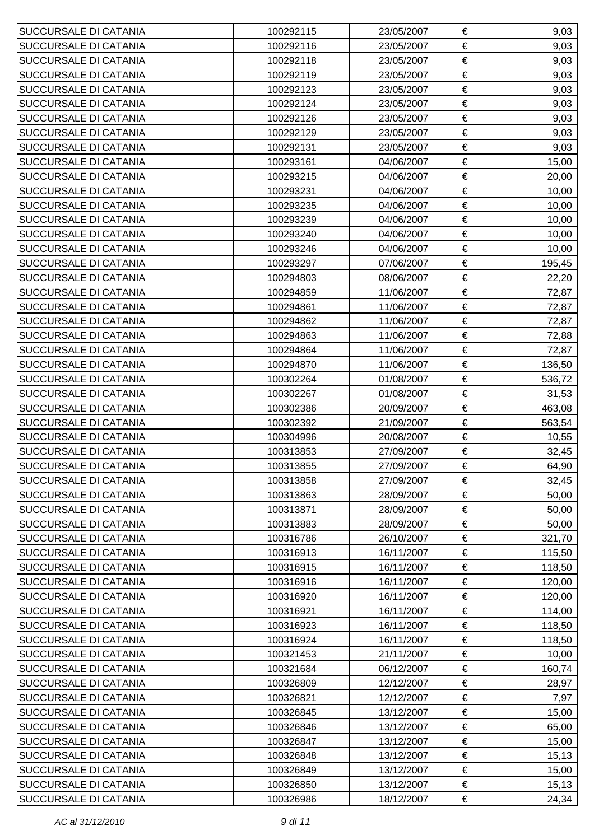| SUCCURSALE DI CATANIA        | 100292115 | 23/05/2007 | € | 9,03   |
|------------------------------|-----------|------------|---|--------|
| <b>SUCCURSALE DI CATANIA</b> | 100292116 | 23/05/2007 | € | 9,03   |
| <b>SUCCURSALE DI CATANIA</b> | 100292118 | 23/05/2007 | € | 9,03   |
| <b>SUCCURSALE DI CATANIA</b> | 100292119 | 23/05/2007 | € | 9,03   |
| <b>SUCCURSALE DI CATANIA</b> | 100292123 | 23/05/2007 | € | 9,03   |
| <b>SUCCURSALE DI CATANIA</b> | 100292124 | 23/05/2007 | € | 9,03   |
| <b>SUCCURSALE DI CATANIA</b> | 100292126 | 23/05/2007 | € | 9,03   |
| <b>SUCCURSALE DI CATANIA</b> | 100292129 | 23/05/2007 | € | 9,03   |
| <b>SUCCURSALE DI CATANIA</b> | 100292131 | 23/05/2007 | € | 9,03   |
| <b>SUCCURSALE DI CATANIA</b> | 100293161 | 04/06/2007 | € | 15,00  |
| <b>SUCCURSALE DI CATANIA</b> | 100293215 | 04/06/2007 | € | 20,00  |
| <b>SUCCURSALE DI CATANIA</b> | 100293231 | 04/06/2007 | € | 10,00  |
| <b>SUCCURSALE DI CATANIA</b> | 100293235 | 04/06/2007 | € | 10,00  |
| <b>SUCCURSALE DI CATANIA</b> | 100293239 | 04/06/2007 | € | 10,00  |
| <b>SUCCURSALE DI CATANIA</b> | 100293240 | 04/06/2007 | € | 10,00  |
| <b>SUCCURSALE DI CATANIA</b> | 100293246 | 04/06/2007 | € | 10,00  |
| <b>SUCCURSALE DI CATANIA</b> | 100293297 | 07/06/2007 | € | 195,45 |
| <b>SUCCURSALE DI CATANIA</b> | 100294803 | 08/06/2007 | € | 22,20  |
| <b>SUCCURSALE DI CATANIA</b> | 100294859 | 11/06/2007 | € | 72,87  |
| <b>SUCCURSALE DI CATANIA</b> | 100294861 | 11/06/2007 | € | 72,87  |
| <b>SUCCURSALE DI CATANIA</b> | 100294862 | 11/06/2007 | € | 72,87  |
| <b>SUCCURSALE DI CATANIA</b> | 100294863 | 11/06/2007 | € | 72,88  |
| <b>SUCCURSALE DI CATANIA</b> | 100294864 | 11/06/2007 | € | 72,87  |
| <b>SUCCURSALE DI CATANIA</b> | 100294870 | 11/06/2007 | € | 136,50 |
| <b>SUCCURSALE DI CATANIA</b> | 100302264 | 01/08/2007 | € | 536,72 |
| <b>SUCCURSALE DI CATANIA</b> | 100302267 | 01/08/2007 | € | 31,53  |
| <b>SUCCURSALE DI CATANIA</b> | 100302386 | 20/09/2007 | € | 463,08 |
| <b>SUCCURSALE DI CATANIA</b> | 100302392 | 21/09/2007 | € | 563,54 |
| <b>SUCCURSALE DI CATANIA</b> | 100304996 | 20/08/2007 | € | 10,55  |
| <b>SUCCURSALE DI CATANIA</b> | 100313853 | 27/09/2007 | € | 32,45  |
| SUCCURSALE DI CATANIA        | 100313855 | 27/09/2007 | € | 64,90  |
| SUCCURSALE DI CATANIA        | 100313858 | 27/09/2007 | € | 32,45  |
| <b>SUCCURSALE DI CATANIA</b> | 100313863 | 28/09/2007 | € | 50,00  |
| <b>SUCCURSALE DI CATANIA</b> | 100313871 | 28/09/2007 | € | 50,00  |
| <b>SUCCURSALE DI CATANIA</b> | 100313883 | 28/09/2007 | € | 50,00  |
| <b>SUCCURSALE DI CATANIA</b> | 100316786 | 26/10/2007 | € | 321,70 |
| <b>SUCCURSALE DI CATANIA</b> | 100316913 | 16/11/2007 | € | 115,50 |
| <b>SUCCURSALE DI CATANIA</b> | 100316915 | 16/11/2007 | € | 118,50 |
| <b>SUCCURSALE DI CATANIA</b> | 100316916 | 16/11/2007 | € | 120,00 |
| <b>SUCCURSALE DI CATANIA</b> | 100316920 | 16/11/2007 | € | 120,00 |
| <b>SUCCURSALE DI CATANIA</b> | 100316921 | 16/11/2007 | € | 114,00 |
| <b>SUCCURSALE DI CATANIA</b> | 100316923 | 16/11/2007 | € | 118,50 |
| <b>SUCCURSALE DI CATANIA</b> | 100316924 | 16/11/2007 | € | 118,50 |
| <b>SUCCURSALE DI CATANIA</b> | 100321453 | 21/11/2007 | € | 10,00  |
| <b>SUCCURSALE DI CATANIA</b> | 100321684 | 06/12/2007 | € | 160,74 |
| <b>SUCCURSALE DI CATANIA</b> | 100326809 | 12/12/2007 | € | 28,97  |
| <b>SUCCURSALE DI CATANIA</b> | 100326821 | 12/12/2007 | € | 7,97   |
| <b>SUCCURSALE DI CATANIA</b> | 100326845 | 13/12/2007 | € | 15,00  |
| <b>SUCCURSALE DI CATANIA</b> | 100326846 | 13/12/2007 | € | 65,00  |
| <b>SUCCURSALE DI CATANIA</b> | 100326847 | 13/12/2007 | € | 15,00  |
| <b>SUCCURSALE DI CATANIA</b> | 100326848 | 13/12/2007 | € | 15,13  |
| <b>SUCCURSALE DI CATANIA</b> | 100326849 | 13/12/2007 | € | 15,00  |
| <b>SUCCURSALE DI CATANIA</b> | 100326850 | 13/12/2007 | € | 15,13  |
| <b>SUCCURSALE DI CATANIA</b> | 100326986 | 18/12/2007 | € | 24,34  |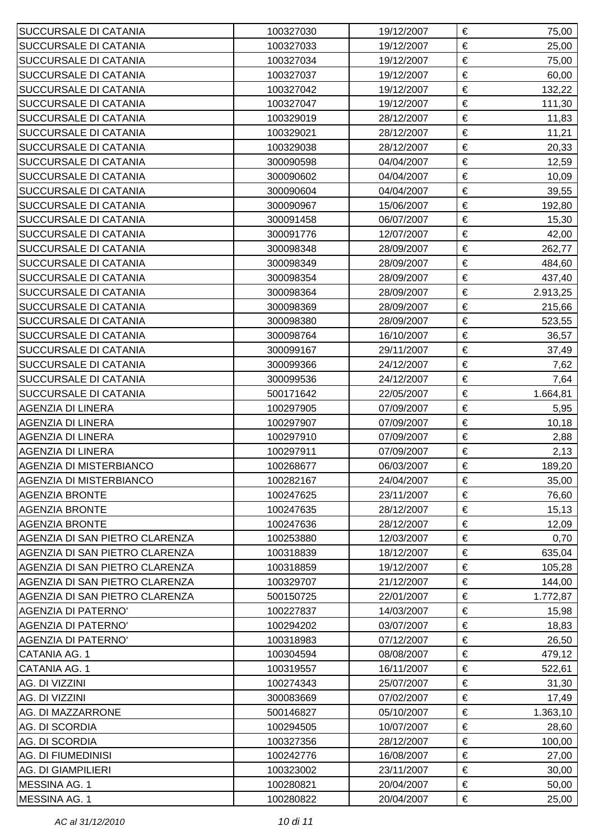| <b>SUCCURSALE DI CATANIA</b>   | 100327030 | 19/12/2007 | € | 75,00    |
|--------------------------------|-----------|------------|---|----------|
| <b>SUCCURSALE DI CATANIA</b>   | 100327033 | 19/12/2007 | € | 25,00    |
| <b>SUCCURSALE DI CATANIA</b>   | 100327034 | 19/12/2007 | € | 75,00    |
| <b>SUCCURSALE DI CATANIA</b>   | 100327037 | 19/12/2007 | € | 60,00    |
| <b>SUCCURSALE DI CATANIA</b>   | 100327042 | 19/12/2007 | € | 132,22   |
| <b>SUCCURSALE DI CATANIA</b>   | 100327047 | 19/12/2007 | € | 111,30   |
| <b>SUCCURSALE DI CATANIA</b>   | 100329019 | 28/12/2007 | € | 11,83    |
| <b>SUCCURSALE DI CATANIA</b>   | 100329021 | 28/12/2007 | € | 11,21    |
| <b>SUCCURSALE DI CATANIA</b>   | 100329038 | 28/12/2007 | € | 20,33    |
| <b>SUCCURSALE DI CATANIA</b>   | 300090598 | 04/04/2007 | € | 12,59    |
| <b>SUCCURSALE DI CATANIA</b>   | 300090602 | 04/04/2007 | € | 10,09    |
| <b>SUCCURSALE DI CATANIA</b>   | 300090604 | 04/04/2007 | € | 39,55    |
| <b>SUCCURSALE DI CATANIA</b>   | 300090967 | 15/06/2007 | € | 192,80   |
| <b>SUCCURSALE DI CATANIA</b>   | 300091458 | 06/07/2007 | € | 15,30    |
| <b>SUCCURSALE DI CATANIA</b>   | 300091776 | 12/07/2007 | € | 42,00    |
| <b>SUCCURSALE DI CATANIA</b>   | 300098348 | 28/09/2007 | € | 262,77   |
| <b>SUCCURSALE DI CATANIA</b>   | 300098349 | 28/09/2007 | € | 484,60   |
| <b>SUCCURSALE DI CATANIA</b>   | 300098354 | 28/09/2007 | € | 437,40   |
| <b>SUCCURSALE DI CATANIA</b>   | 300098364 | 28/09/2007 | € | 2.913,25 |
| <b>SUCCURSALE DI CATANIA</b>   | 300098369 | 28/09/2007 | € | 215,66   |
| <b>SUCCURSALE DI CATANIA</b>   | 300098380 | 28/09/2007 | € | 523,55   |
| <b>SUCCURSALE DI CATANIA</b>   | 300098764 | 16/10/2007 | € | 36,57    |
| <b>SUCCURSALE DI CATANIA</b>   | 300099167 | 29/11/2007 | € | 37,49    |
| <b>SUCCURSALE DI CATANIA</b>   | 300099366 | 24/12/2007 | € | 7,62     |
| <b>SUCCURSALE DI CATANIA</b>   | 300099536 | 24/12/2007 | € | 7,64     |
| <b>SUCCURSALE DI CATANIA</b>   | 500171642 | 22/05/2007 | € | 1.664,81 |
| <b>AGENZIA DI LINERA</b>       | 100297905 | 07/09/2007 | € | 5,95     |
| AGENZIA DI LINERA              | 100297907 | 07/09/2007 | € | 10, 18   |
| AGENZIA DI LINERA              | 100297910 | 07/09/2007 | € | 2,88     |
| <b>AGENZIA DI LINERA</b>       | 100297911 | 07/09/2007 | € | 2,13     |
| <b>AGENZIA DI MISTERBIANCO</b> | 100268677 | 06/03/2007 | € | 189,20   |
| <b>AGENZIA DI MISTERBIANCO</b> | 100282167 | 24/04/2007 | € | 35,00    |
| <b>AGENZIA BRONTE</b>          | 100247625 | 23/11/2007 | € | 76,60    |
| AGENZIA BRONTE                 | 100247635 | 28/12/2007 | € | 15,13    |
| <b>AGENZIA BRONTE</b>          | 100247636 | 28/12/2007 | € | 12,09    |
| AGENZIA DI SAN PIETRO CLARENZA | 100253880 | 12/03/2007 | € | 0,70     |
| AGENZIA DI SAN PIETRO CLARENZA | 100318839 | 18/12/2007 | € | 635,04   |
| AGENZIA DI SAN PIETRO CLARENZA | 100318859 | 19/12/2007 | € | 105,28   |
| AGENZIA DI SAN PIETRO CLARENZA | 100329707 | 21/12/2007 | € | 144,00   |
| AGENZIA DI SAN PIETRO CLARENZA | 500150725 | 22/01/2007 | € | 1.772,87 |
| AGENZIA DI PATERNO'            | 100227837 | 14/03/2007 | € | 15,98    |
| AGENZIA DI PATERNO'            | 100294202 | 03/07/2007 | € | 18,83    |
| AGENZIA DI PATERNO'            | 100318983 | 07/12/2007 | € | 26,50    |
| CATANIA AG. 1                  | 100304594 | 08/08/2007 | € | 479,12   |
| CATANIA AG. 1                  | 100319557 | 16/11/2007 | € | 522,61   |
| AG. DI VIZZINI                 | 100274343 | 25/07/2007 | € | 31,30    |
| AG. DI VIZZINI                 | 300083669 | 07/02/2007 | € | 17,49    |
| AG. DI MAZZARRONE              | 500146827 | 05/10/2007 | € | 1.363,10 |
| AG. DI SCORDIA                 | 100294505 | 10/07/2007 | € | 28,60    |
| AG. DI SCORDIA                 | 100327356 | 28/12/2007 | € | 100,00   |
| AG. DI FIUMEDINISI             | 100242776 | 16/08/2007 | € | 27,00    |
| <b>AG. DI GIAMPILIERI</b>      | 100323002 | 23/11/2007 | € | 30,00    |
| MESSINA AG. 1                  | 100280821 | 20/04/2007 | € | 50,00    |
| MESSINA AG. 1                  | 100280822 | 20/04/2007 | € | 25,00    |